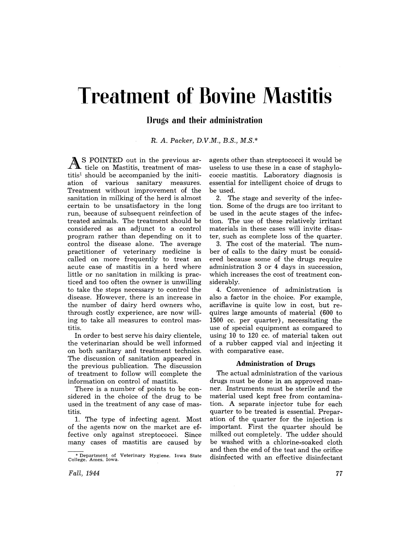# **Treatment of Bovine Mastitis**

# **Drugs and their administration**

R. *A. Packer, D.V.M., B.S., M.S.\** 

As POINTED out in the previous ar-ticle on Mastitis, treatment of mastitis! should be accompanied by the initiation of various sanitary measures. Treatment without improvement of the sanitation in milking of the herd is almost certain to be unsatisfactory in the long run, because of subsequent reinfection of treated animals. The treatment should be considered as an adjunct to a control program rather than depending on it to control the disease alone. The average practitioner of veterinary medicine is called on more frequently to treat an acute case of mastitis in a herd where little or no sanitation in milking is practiced and too often the owner is unwilling to take the steps necessary to control the disease. However, there is an increase in the number of dairy herd owners who, through costly experience, are now willing to take all measures to control mastitis.

In order to best serve his dairy clientele, the veterinarian should be well informed on both sanitary and treatment technics. The discussion of sanitation appeared in the previous publication. The discussion of treatment to follow will complete the information on control of mastitis.

There is a number of points to be considered in the choice of the drug to be used in the treatment of any case of mastitis.

1. The type of infecting agent. Most of the agents now on the market are effective only against streptococci. Since many cases of mastitis are caused by

agents other than streptococci it would be useless to use these in a case of staphylococcic mastitis. Laboratory diagnosis is essential for intelligent choice of drugs to be used.

2. The stage and severity of the infection. Some of the drugs are too irritant to be used in the acute stages of the infection. The use of these relatively irritant materials in these cases will invite disaster, such as complete loss of the quarter.

3. The cost of the material. The number of calls to the dairy must be considered because some of the drugs require administration 3 or 4 days in succession, which increases the cost of treatment considerably.

4. Convenience of administration is also a factor in the choice. For example, acriflavine is quite low in cost, but requires large amounts of material (600 to 1500 cc. per quarter), necessitating the use of special equipment as compared to using 10 to 120 cc. of material taken out of a rubber capped vial and injecting it with comparative ease.

## Administration of Drugs

The actual administration of the various drugs must be done in an approved manner. Instruments must be sterile and the material used kept free from contamination. A separate injector tube for each quarter to be treated is essential. Preparation of the quarter for the injection is important. First the quarter should be milked out completely. The udder should be washed with a chlorine-soaked cloth and then the end of the teat and the orifice disinfected with an effective disinfectant

<sup>•</sup> Department of Veterinary Hygiene. Iowa State College. Ames. Iowa.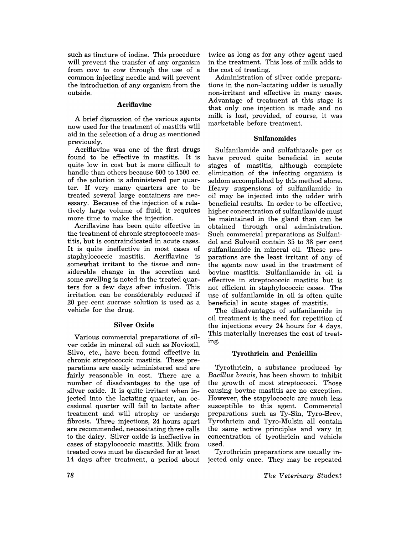such as tincture of iodine. This procedure will prevent the transfer of any organism from cow to cow through the use of a common injecting needle and will prevent the introduction of any organism from the outside.

## **Acriflavine**

A brief discussion of the various agents now used for the treatment of mastitis will aid in the selection of a drug as mentioned previously.

Acriflavine was one of the first drugs found to be effective in mastitis. It is quite low in cost but is more difficult to handle than others because 600 to 1500 cc. of the solution is administered per quarter. If very many quarters are to be treated several large containers are necessary. Because of the injection of a relatively large volume of fluid, it requires more time to make the injection.

Acriflavine has been quite effective in the treatment of chronic streptococcic mastitis, but is contraindicated in acute cases. It is quite ineffective in most cases of<br>staphylococcic mastitis. Acriflavine is staphylococcic mastitis. somewhat irritant to the tissue and considerable change in the secretion and some swelling is noted in the treated quarters for a few days after infusion. This irritation can be considerably reduced if 20 per cent sucrose solution is used as a vehicle for the drug.

#### Silver Oxide

Various commercial preparations of silver oxide in mineral oil such as Novioxil, Silvo, etc., have been found effective in chronic streptococcic mastitis. These preparations are easily administered and are fairly reasonable in cost. There are a number of disadvantages to the use of silver oxide. It is quite irritant when injected into the lactating quarter, an occasional quarter will fail to lactate after treatment and will atrophy or undergo fibrosis. Three injections, 24 hours apart are recommended, necessitating three calls to the dairy. Silver oxide is ineffective in cases of stapylococcic mastitis. Milk from treated cows must be discarded for at least 14 days after treatment, a period about twice as long as for any other agent used in the treatment. This loss of milk adds to the cost of treating.

Administration of silver oxide preparations in the non-lactating udder is usually non-irritant and effective in many cases. Advantage of treatment at this stage is that only one injection is made and no milk is lost, provided, of course, it was marketable before treatment.

#### Sulfanomides

Sulfanilamide and sulfathiazole per os have proved quite beneficial in acute stages of mastitis, although complete elimination of the infecting organism is seldom accomplished by this method alone. Heavy suspensions of sulfanilamide in oil may be injected into the udder with beneficial results. In order to be effective, higher concentration of sulfanilamide must be maintained in the gland than can be obtained through oral administration. Such commercial preparations as Sulfanidol and Sulvetil contain 35 to 38 per cent sulfanilamide in mineral oil. These preparations are the least irritant of any of the agents now used in the treatment of bovine mastitis. Sulfanilamide in oil is effective in streptococcic mastitis but is not efficient in staphylococcic cases. The use of sulfanilamide in oil is often quite beneficial in acute stages of mastitis.

The disadvantages of sulfanilamide in oil treatment is the need for repetition of the injections every 24 hours for 4 days. This materially increases the cost of treating.

#### Tyrothricin and Penicillin

Tyrothricin, a substance produced by *Bacillus brevis,* has been shown to inhibit the growth of most streptococci. Those causing bovine mastitis are no exception. However, the stapylococcic are much less susceptible to this agent. Commercial preparations such as Ty-Sin, Tyro-Brev, Tyrothricin and Tyro-Mulsin all contain the same active principles and vary in concentration of tyrothricin and vehicle used.

Tyrothricin preparations are usually injected only once. They may be repeated